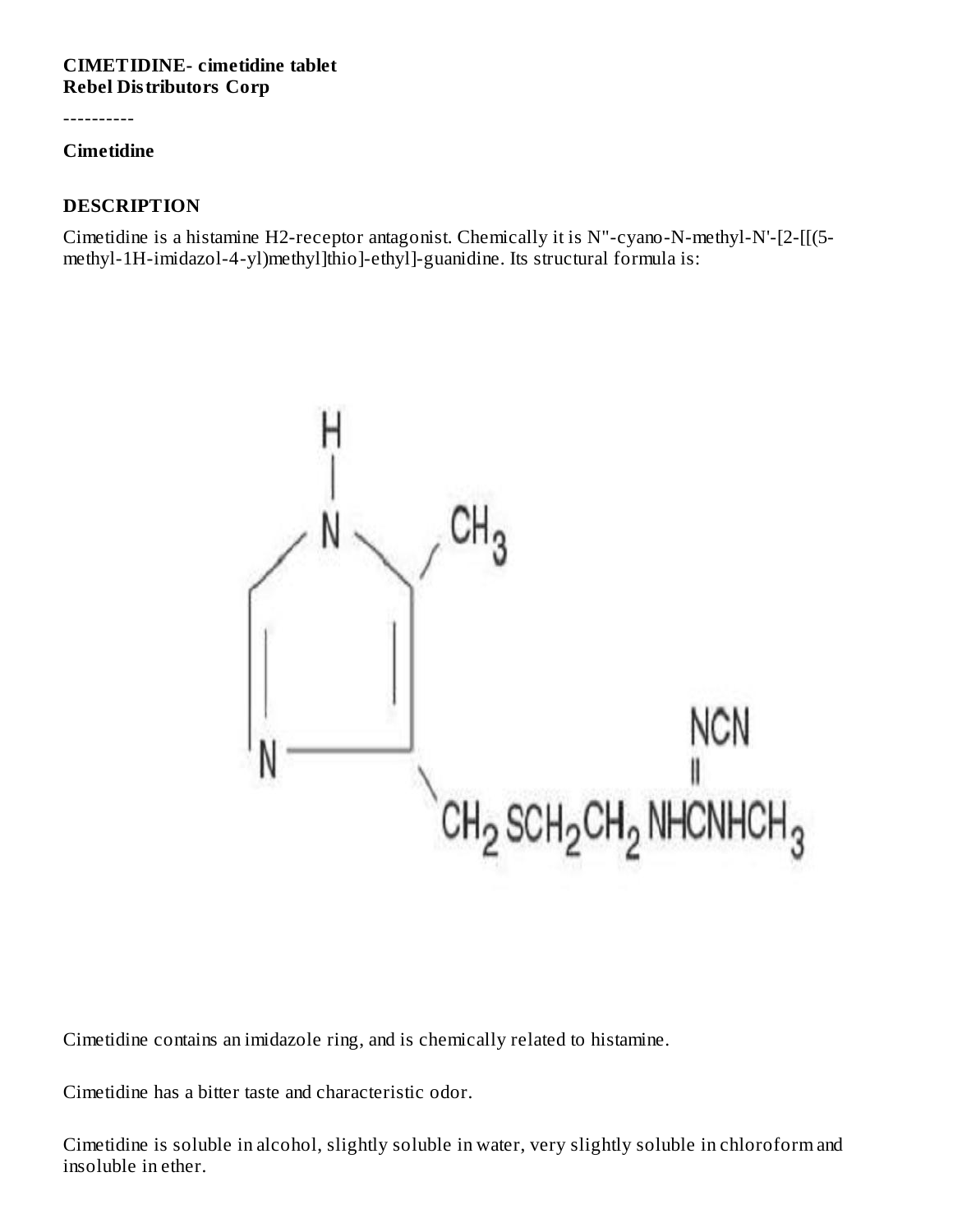#### **CIMETIDINE- cimetidine tablet Rebel Distributors Corp**

----------

#### **Cimetidine**

#### **DESCRIPTION**

Cimetidine is a histamine H2-receptor antagonist. Chemically it is N"-cyano-N-methyl-N'-[2-[[(5 methyl-1H-imidazol-4-yl)methyl]thio]-ethyl]-guanidine. Its structural formula is:



Cimetidine contains an imidazole ring, and is chemically related to histamine.

Cimetidine has a bitter taste and characteristic odor.

Cimetidine is soluble in alcohol, slightly soluble in water, very slightly soluble in chloroform and insoluble in ether.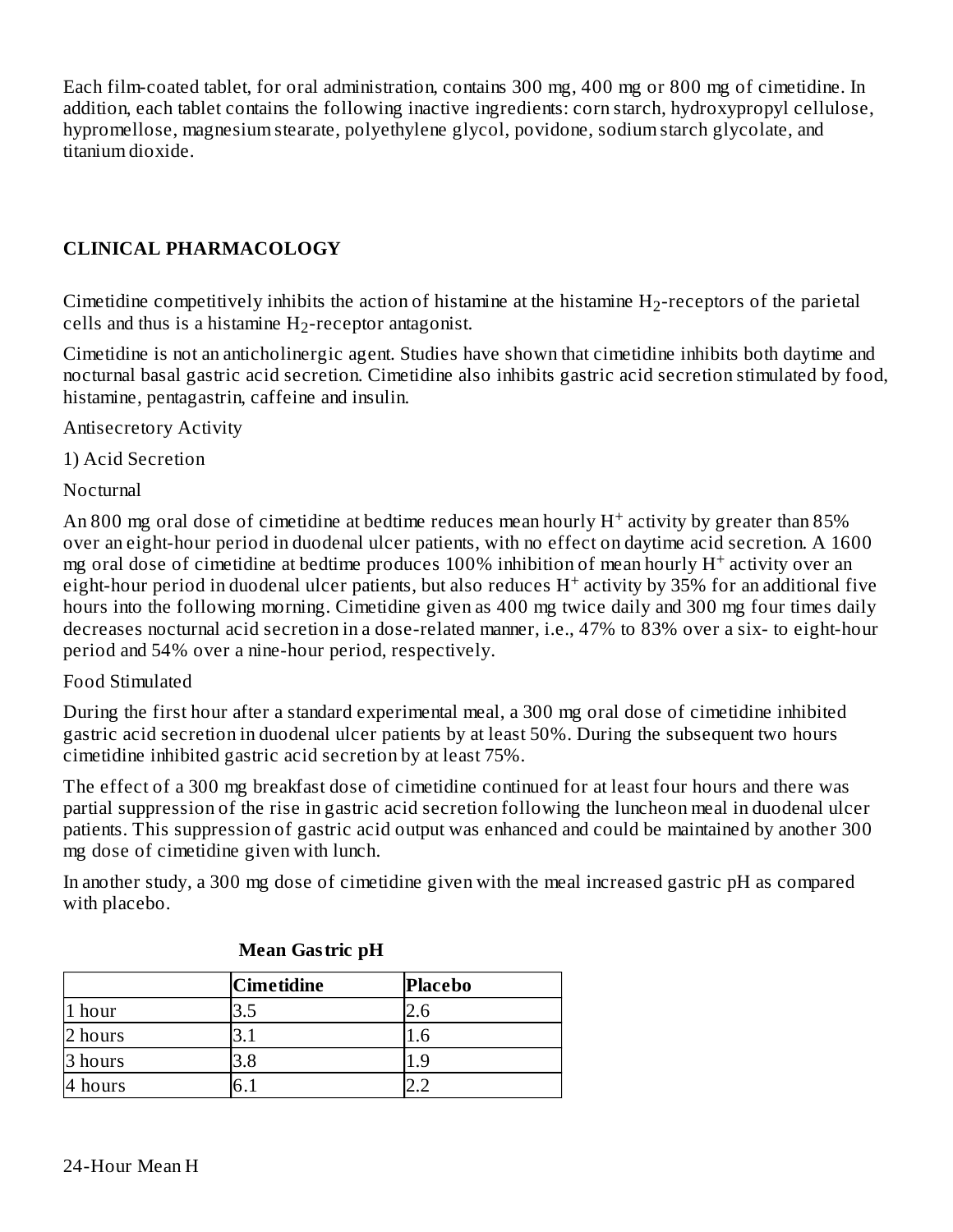Each film-coated tablet, for oral administration, contains 300 mg, 400 mg or 800 mg of cimetidine. In addition, each tablet contains the following inactive ingredients: corn starch, hydroxypropyl cellulose, hypromellose, magnesium stearate, polyethylene glycol, povidone, sodium starch glycolate, and titanium dioxide.

## **CLINICAL PHARMACOLOGY**

Cimetidine competitively inhibits the action of histamine at the histamine  $H_2$ -receptors of the parietal cells and thus is a histamine  $H_2$ -receptor antagonist.

Cimetidine is not an anticholinergic agent. Studies have shown that cimetidine inhibits both daytime and nocturnal basal gastric acid secretion. Cimetidine also inhibits gastric acid secretion stimulated by food, histamine, pentagastrin, caffeine and insulin.

Antisecretory Activity

1) Acid Secretion

**Nocturnal** 

An 800 mg oral dose of cimetidine at bedtime reduces mean hourly  $H^+$  activity by greater than 85% over an eight-hour period in duodenal ulcer patients, with no effect on daytime acid secretion. A 1600 mg oral dose of cimetidine at bedtime produces  $100\%$  inhibition of mean hourly H<sup>+</sup> activity over an eight-hour period in duodenal ulcer patients, but also reduces  $H^+$  activity by 35% for an additional five hours into the following morning. Cimetidine given as 400 mg twice daily and 300 mg four times daily decreases nocturnal acid secretion in a dose-related manner, i.e., 47% to 83% over a six- to eight-hour period and 54% over a nine-hour period, respectively.

#### Food Stimulated

During the first hour after a standard experimental meal, a 300 mg oral dose of cimetidine inhibited gastric acid secretion in duodenal ulcer patients by at least 50%. During the subsequent two hours cimetidine inhibited gastric acid secretion by at least 75%.

The effect of a 300 mg breakfast dose of cimetidine continued for at least four hours and there was partial suppression of the rise in gastric acid secretion following the luncheon meal in duodenal ulcer patients. This suppression of gastric acid output was enhanced and could be maintained by another 300 mg dose of cimetidine given with lunch.

In another study, a 300 mg dose of cimetidine given with the meal increased gastric pH as compared with placebo.

|         | <b>Cimetidine</b> | Placebo |
|---------|-------------------|---------|
| 1 hour  |                   | 2.6     |
| 2 hours |                   | 1.6     |
| 3 hours | 3.8               |         |
| hours   |                   |         |

## **Mean Gastric pH**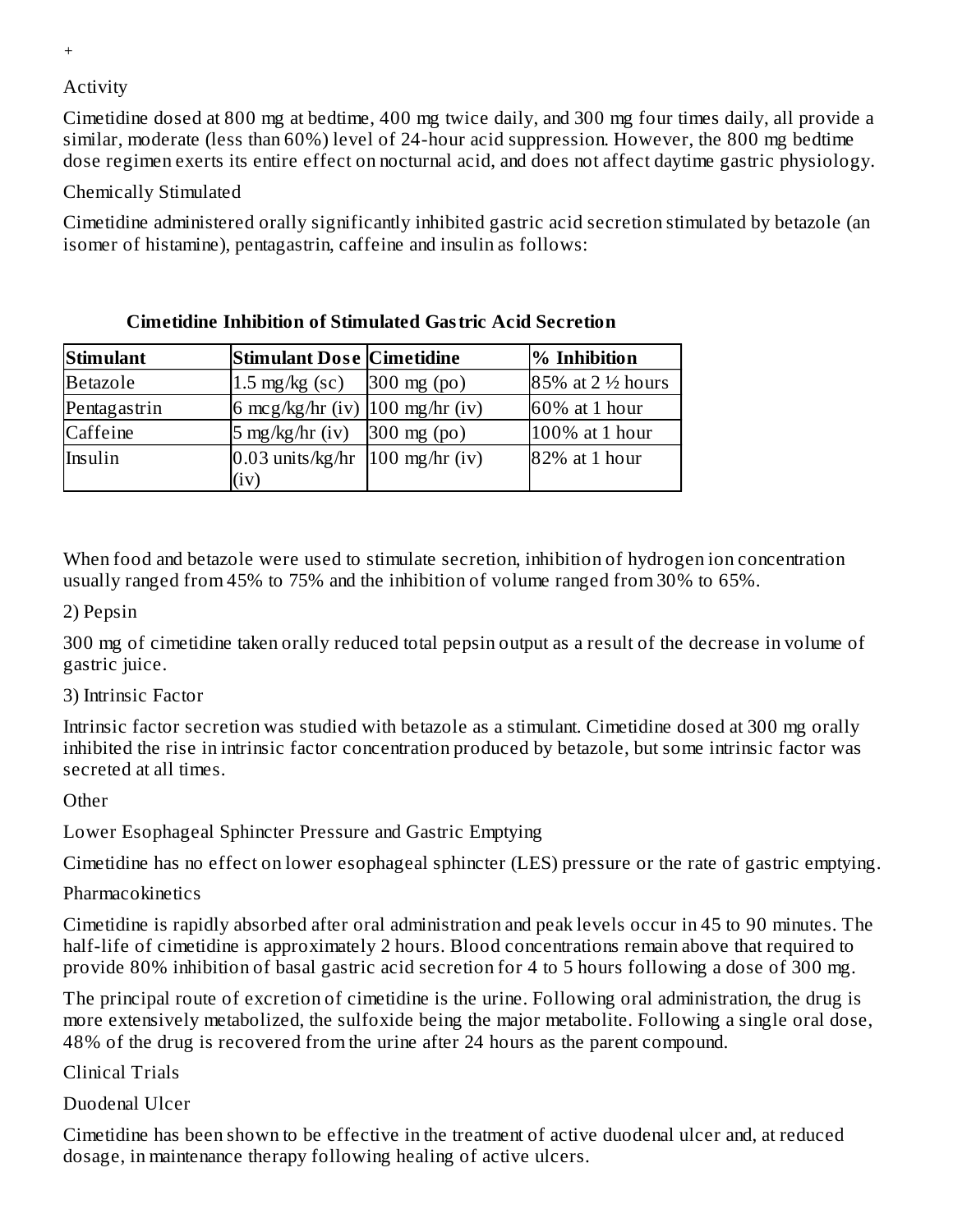## Activity

*+*

Cimetidine dosed at 800 mg at bedtime, 400 mg twice daily, and 300 mg four times daily, all provide a similar, moderate (less than 60%) level of 24-hour acid suppression. However, the 800 mg bedtime dose regimen exerts its entire effect on nocturnal acid, and does not affect daytime gastric physiology.

## Chemically Stimulated

Cimetidine administered orally significantly inhibited gastric acid secretion stimulated by betazole (an isomer of histamine), pentagastrin, caffeine and insulin as follows:

| <b>Stimulant</b> | Stimulant Dose  Cimetidine                                     | % Inhibition       |
|------------------|----------------------------------------------------------------|--------------------|
| Betazole         | $1.5 \text{ mg/kg}$ (sc) $ 300 \text{ mg}$ (po)                | 85% at 2 1/2 hours |
| Pentagastrin     | 6 mcg/kg/hr (iv) $ 100 \text{ mg/hr}$ (iv)                     | 60% at 1 hour      |
| Caffeine         | $\frac{5 \text{ mg}}{kg}$ /hr (iv) $\frac{300 \text{ mg}}{90}$ | 100% at 1 hour     |
| Insulin          | $0.03$ units/kg/hr  100 mg/hr (iv)<br>(iv)                     | 82% at 1 hour      |

## **Cimetidine Inhibition of Stimulated Gastric Acid Secretion**

When food and betazole were used to stimulate secretion, inhibition of hydrogen ion concentration usually ranged from 45% to 75% and the inhibition of volume ranged from 30% to 65%.

## 2) Pepsin

300 mg of cimetidine taken orally reduced total pepsin output as a result of the decrease in volume of gastric juice.

## 3) Intrinsic Factor

Intrinsic factor secretion was studied with betazole as a stimulant. Cimetidine dosed at 300 mg orally inhibited the rise in intrinsic factor concentration produced by betazole, but some intrinsic factor was secreted at all times.

## Other

Lower Esophageal Sphincter Pressure and Gastric Emptying

Cimetidine has no effect on lower esophageal sphincter (LES) pressure or the rate of gastric emptying.

## Pharmacokinetics

Cimetidine is rapidly absorbed after oral administration and peak levels occur in 45 to 90 minutes. The half-life of cimetidine is approximately 2 hours. Blood concentrations remain above that required to provide 80% inhibition of basal gastric acid secretion for 4 to 5 hours following a dose of 300 mg.

The principal route of excretion of cimetidine is the urine. Following oral administration, the drug is more extensively metabolized, the sulfoxide being the major metabolite. Following a single oral dose, 48% of the drug is recovered from the urine after 24 hours as the parent compound.

## Clinical Trials

## Duodenal Ulcer

Cimetidine has been shown to be effective in the treatment of active duodenal ulcer and, at reduced dosage, in maintenance therapy following healing of active ulcers.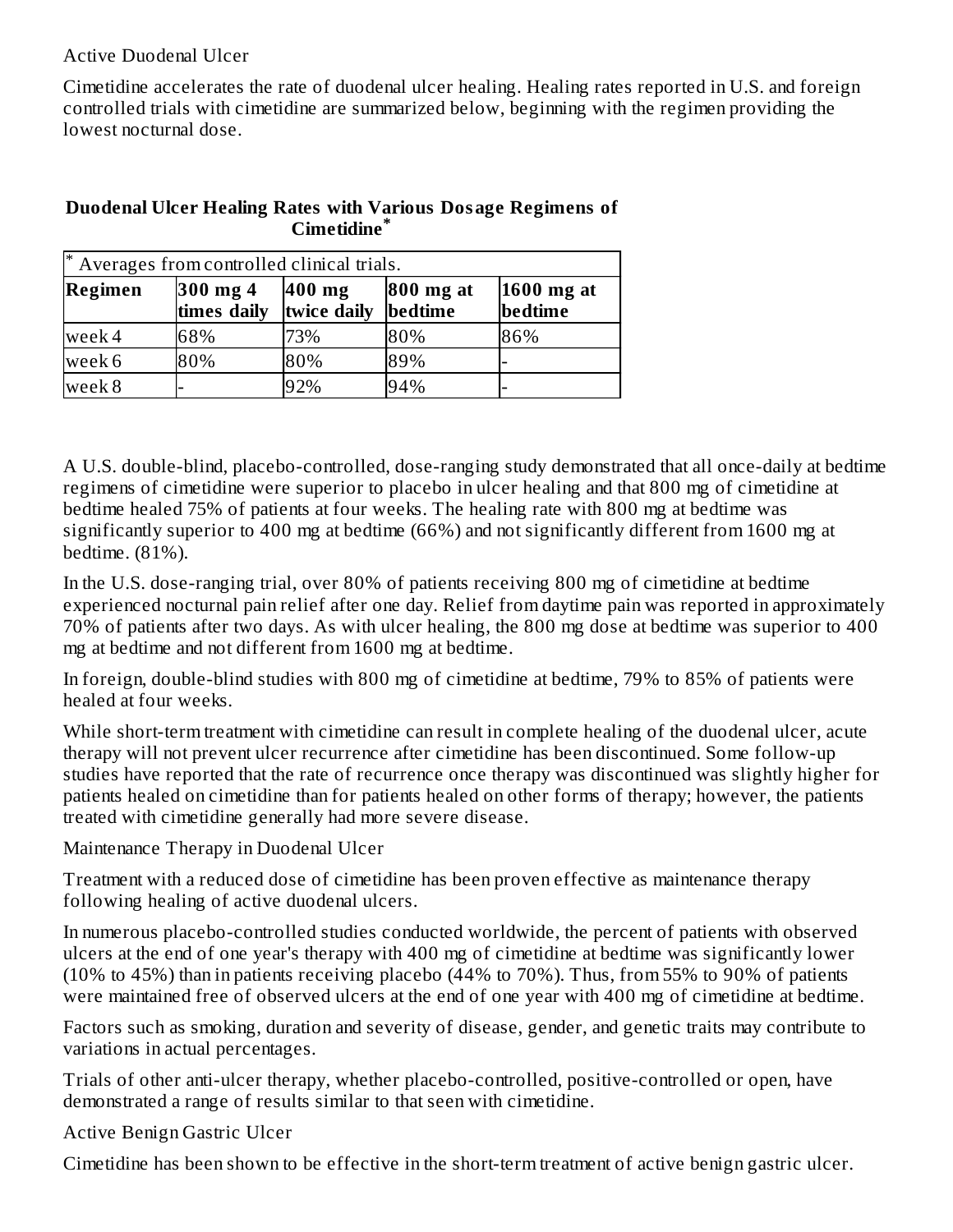## Active Duodenal Ulcer

Cimetidine accelerates the rate of duodenal ulcer healing. Healing rates reported in U.S. and foreign controlled trials with cimetidine are summarized below, beginning with the regimen providing the lowest nocturnal dose.

| * Averages from controlled clinical trials. |                         |                         |                                  |                         |  |
|---------------------------------------------|-------------------------|-------------------------|----------------------------------|-------------------------|--|
| Regimen                                     | 300 mg 4<br>times daily | $400$ mg<br>twice daily | $ 800 \text{ mg at} $<br>bedtime | $1600$ mg at<br>bedtime |  |
| week 4                                      | 68%                     | 73%                     | 80%                              | 86%                     |  |
| week 6                                      | 80%                     | 80%                     | 89%                              |                         |  |
| week 8                                      |                         | 92%                     | 94%                              |                         |  |

## **Duodenal Ulcer Healing Rates with Various Dosage Regimens of Cimetidine \***

A U.S. double-blind, placebo-controlled, dose-ranging study demonstrated that all once-daily at bedtime regimens of cimetidine were superior to placebo in ulcer healing and that 800 mg of cimetidine at bedtime healed 75% of patients at four weeks. The healing rate with 800 mg at bedtime was significantly superior to 400 mg at bedtime (66%) and not significantly different from 1600 mg at bedtime. (81%).

In the U.S. dose-ranging trial, over 80% of patients receiving 800 mg of cimetidine at bedtime experienced nocturnal pain relief after one day. Relief from daytime pain was reported in approximately 70% of patients after two days. As with ulcer healing, the 800 mg dose at bedtime was superior to 400 mg at bedtime and not different from 1600 mg at bedtime.

In foreign, double-blind studies with 800 mg of cimetidine at bedtime, 79% to 85% of patients were healed at four weeks.

While short-term treatment with cimetidine can result in complete healing of the duodenal ulcer, acute therapy will not prevent ulcer recurrence after cimetidine has been discontinued. Some follow-up studies have reported that the rate of recurrence once therapy was discontinued was slightly higher for patients healed on cimetidine than for patients healed on other forms of therapy; however, the patients treated with cimetidine generally had more severe disease.

Maintenance Therapy in Duodenal Ulcer

Treatment with a reduced dose of cimetidine has been proven effective as maintenance therapy following healing of active duodenal ulcers.

In numerous placebo-controlled studies conducted worldwide, the percent of patients with observed ulcers at the end of one year's therapy with 400 mg of cimetidine at bedtime was significantly lower (10% to 45%) than in patients receiving placebo (44% to 70%). Thus, from 55% to 90% of patients were maintained free of observed ulcers at the end of one year with 400 mg of cimetidine at bedtime.

Factors such as smoking, duration and severity of disease, gender, and genetic traits may contribute to variations in actual percentages.

Trials of other anti-ulcer therapy, whether placebo-controlled, positive-controlled or open, have demonstrated a range of results similar to that seen with cimetidine.

Active Benign Gastric Ulcer

Cimetidine has been shown to be effective in the short-term treatment of active benign gastric ulcer.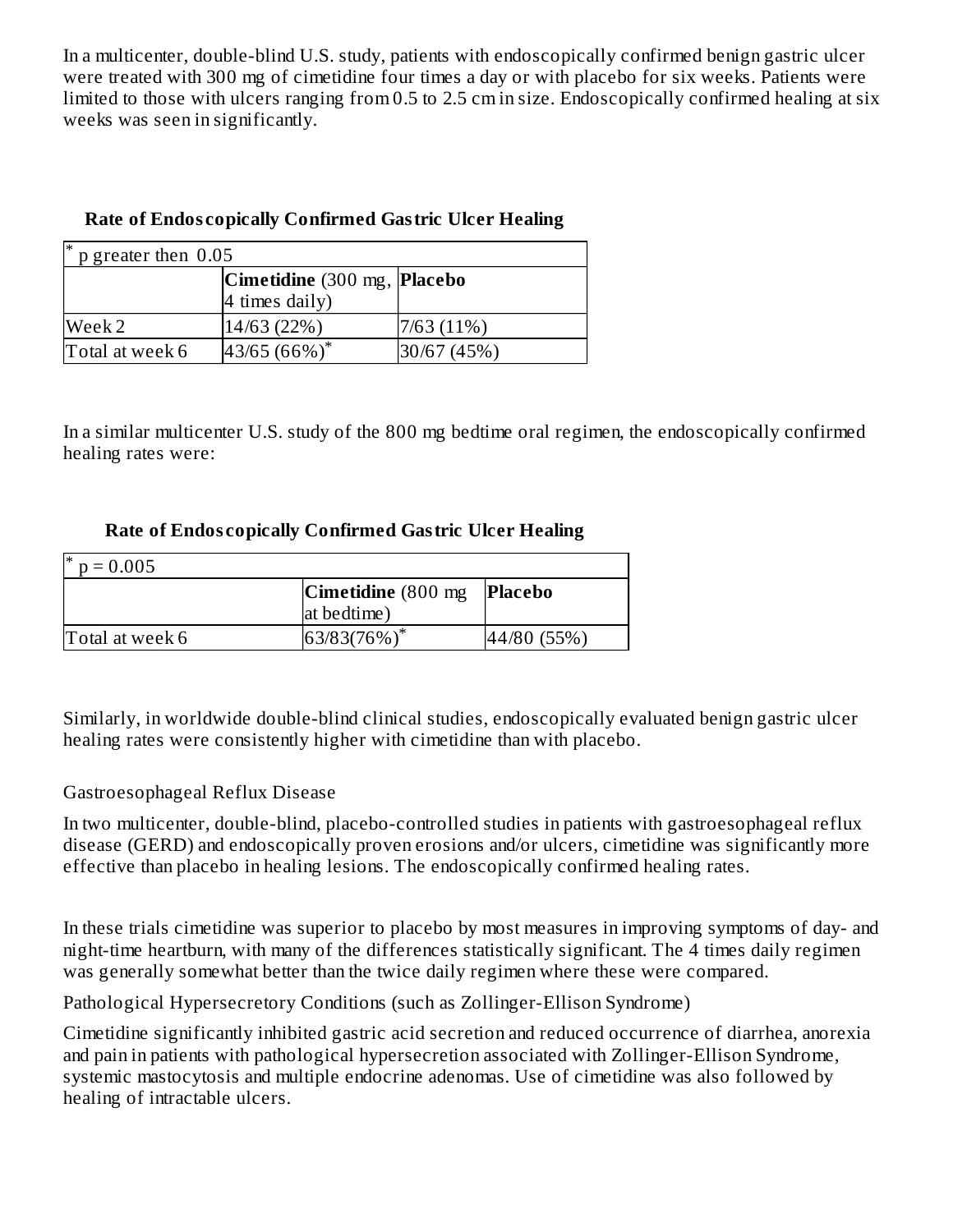In a multicenter, double-blind U.S. study, patients with endoscopically confirmed benign gastric ulcer were treated with 300 mg of cimetidine four times a day or with placebo for six weeks. Patients were limited to those with ulcers ranging from 0.5 to 2.5 cm in size. Endoscopically confirmed healing at six weeks was seen in significantly.

## **Rate of Endos copically Confirmed Gastric Ulcer Healing**

| ∗<br>$p$ greater then $0.05$ |                             |             |  |  |  |
|------------------------------|-----------------------------|-------------|--|--|--|
|                              | Cimetidine (300 mg, Placebo |             |  |  |  |
|                              | 4 times daily)              |             |  |  |  |
| Week 2                       | 14/63(22%)                  | 7/63(11%)   |  |  |  |
| Total at week 6              | 43/65 (66%)*                | 30/67 (45%) |  |  |  |

In a similar multicenter U.S. study of the 800 mg bedtime oral regimen, the endoscopically confirmed healing rates were:

## **Rate of Endos copically Confirmed Gastric Ulcer Healing**

| ∗<br>$p = 0.005$ |                              |            |
|------------------|------------------------------|------------|
|                  | Cimetidine (800 mg   Placebo |            |
|                  | at bedtime)                  |            |
| Total at week 6  | $63/83(76%)^*$               | 44/80(55%) |

Similarly, in worldwide double-blind clinical studies, endoscopically evaluated benign gastric ulcer healing rates were consistently higher with cimetidine than with placebo.

## Gastroesophageal Reflux Disease

In two multicenter, double-blind, placebo-controlled studies in patients with gastroesophageal reflux disease (GERD) and endoscopically proven erosions and/or ulcers, cimetidine was significantly more effective than placebo in healing lesions. The endoscopically confirmed healing rates.

In these trials cimetidine was superior to placebo by most measures in improving symptoms of day- and night-time heartburn, with many of the differences statistically significant. The 4 times daily regimen was generally somewhat better than the twice daily regimen where these were compared.

Pathological Hypersecretory Conditions (such as Zollinger-Ellison Syndrome)

Cimetidine significantly inhibited gastric acid secretion and reduced occurrence of diarrhea, anorexia and pain in patients with pathological hypersecretion associated with Zollinger-Ellison Syndrome, systemic mastocytosis and multiple endocrine adenomas. Use of cimetidine was also followed by healing of intractable ulcers.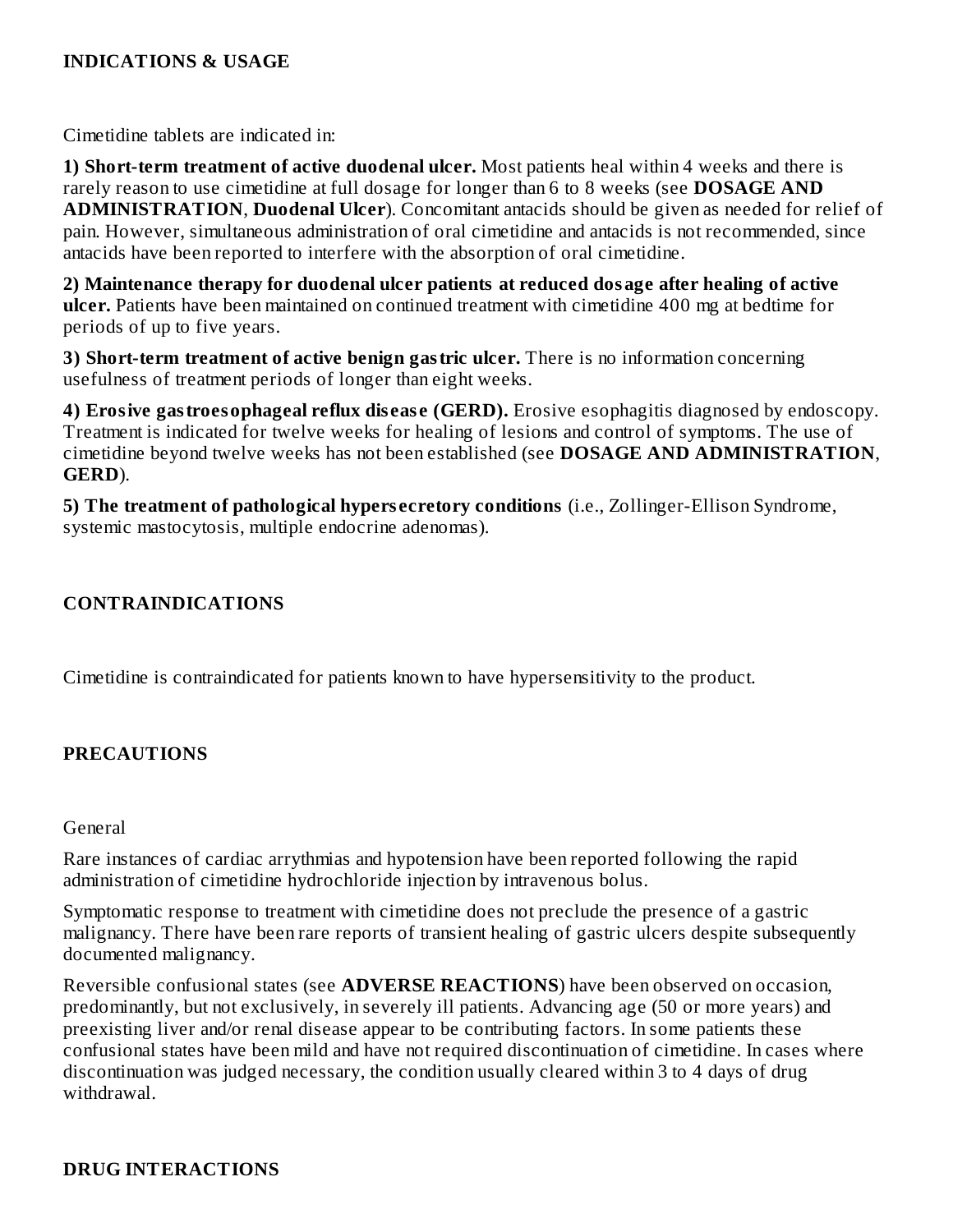Cimetidine tablets are indicated in:

**1) Short-term treatment of active duodenal ulcer.** Most patients heal within 4 weeks and there is rarely reason to use cimetidine at full dosage for longer than 6 to 8 weeks (see **DOSAGE AND ADMINISTRATION**, **Duodenal Ulcer**). Concomitant antacids should be given as needed for relief of pain. However, simultaneous administration of oral cimetidine and antacids is not recommended, since antacids have been reported to interfere with the absorption of oral cimetidine.

**2) Maintenance therapy for duodenal ulcer patients at reduced dosage after healing of active ulcer.** Patients have been maintained on continued treatment with cimetidine 400 mg at bedtime for periods of up to five years.

**3) Short-term treatment of active benign gastric ulcer.** There is no information concerning usefulness of treatment periods of longer than eight weeks.

**4) Erosive gastroesophageal reflux dis eas e (GERD).** Erosive esophagitis diagnosed by endoscopy. Treatment is indicated for twelve weeks for healing of lesions and control of symptoms. The use of cimetidine beyond twelve weeks has not been established (see **DOSAGE AND ADMINISTRATION**, **GERD**).

**5) The treatment of pathological hypers ecretory conditions** (i.e., Zollinger-Ellison Syndrome, systemic mastocytosis, multiple endocrine adenomas).

## **CONTRAINDICATIONS**

Cimetidine is contraindicated for patients known to have hypersensitivity to the product.

## **PRECAUTIONS**

#### General

Rare instances of cardiac arrythmias and hypotension have been reported following the rapid administration of cimetidine hydrochloride injection by intravenous bolus.

Symptomatic response to treatment with cimetidine does not preclude the presence of a gastric malignancy. There have been rare reports of transient healing of gastric ulcers despite subsequently documented malignancy.

Reversible confusional states (see **ADVERSE REACTIONS**) have been observed on occasion, predominantly, but not exclusively, in severely ill patients. Advancing age (50 or more years) and preexisting liver and/or renal disease appear to be contributing factors. In some patients these confusional states have been mild and have not required discontinuation of cimetidine. In cases where discontinuation was judged necessary, the condition usually cleared within 3 to 4 days of drug withdrawal.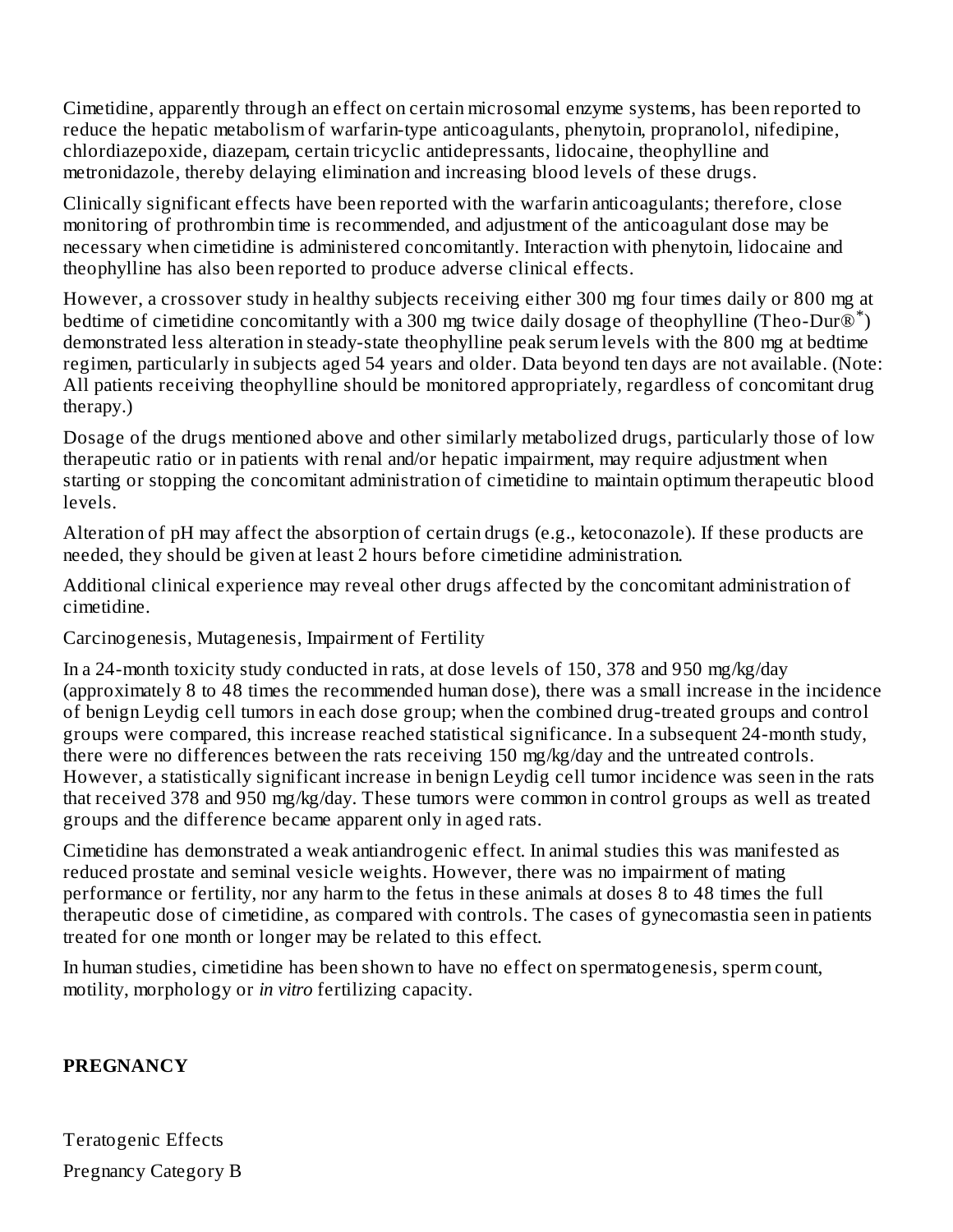Cimetidine, apparently through an effect on certain microsomal enzyme systems, has been reported to reduce the hepatic metabolism of warfarin-type anticoagulants, phenytoin, propranolol, nifedipine, chlordiazepoxide, diazepam, certain tricyclic antidepressants, lidocaine, theophylline and metronidazole, thereby delaying elimination and increasing blood levels of these drugs.

Clinically significant effects have been reported with the warfarin anticoagulants; therefore, close monitoring of prothrombin time is recommended, and adjustment of the anticoagulant dose may be necessary when cimetidine is administered concomitantly. Interaction with phenytoin, lidocaine and theophylline has also been reported to produce adverse clinical effects.

However, a crossover study in healthy subjects receiving either 300 mg four times daily or 800 mg at bedtime of cimetidine concomitantly with a 300 mg twice daily dosage of theophylline (Theo-Dur $\mathbb{R}^*$ ) demonstrated less alteration in steady-state theophylline peak serum levels with the 800 mg at bedtime regimen, particularly in subjects aged 54 years and older. Data beyond ten days are not available. (Note: All patients receiving theophylline should be monitored appropriately, regardless of concomitant drug therapy.)

Dosage of the drugs mentioned above and other similarly metabolized drugs, particularly those of low therapeutic ratio or in patients with renal and/or hepatic impairment, may require adjustment when starting or stopping the concomitant administration of cimetidine to maintain optimum therapeutic blood levels.

Alteration of pH may affect the absorption of certain drugs (e.g., ketoconazole). If these products are needed, they should be given at least 2 hours before cimetidine administration.

Additional clinical experience may reveal other drugs affected by the concomitant administration of cimetidine.

Carcinogenesis, Mutagenesis, Impairment of Fertility

In a 24-month toxicity study conducted in rats, at dose levels of 150, 378 and 950 mg/kg/day (approximately 8 to 48 times the recommended human dose), there was a small increase in the incidence of benign Leydig cell tumors in each dose group; when the combined drug-treated groups and control groups were compared, this increase reached statistical significance. In a subsequent 24-month study, there were no differences between the rats receiving 150 mg/kg/day and the untreated controls. However, a statistically significant increase in benign Leydig cell tumor incidence was seen in the rats that received 378 and 950 mg/kg/day. These tumors were common in control groups as well as treated groups and the difference became apparent only in aged rats.

Cimetidine has demonstrated a weak antiandrogenic effect. In animal studies this was manifested as reduced prostate and seminal vesicle weights. However, there was no impairment of mating performance or fertility, nor any harm to the fetus in these animals at doses 8 to 48 times the full therapeutic dose of cimetidine, as compared with controls. The cases of gynecomastia seen in patients treated for one month or longer may be related to this effect.

In human studies, cimetidine has been shown to have no effect on spermatogenesis, sperm count, motility, morphology or *in vitro* fertilizing capacity.

#### **PREGNANCY**

Teratogenic Effects Pregnancy Category B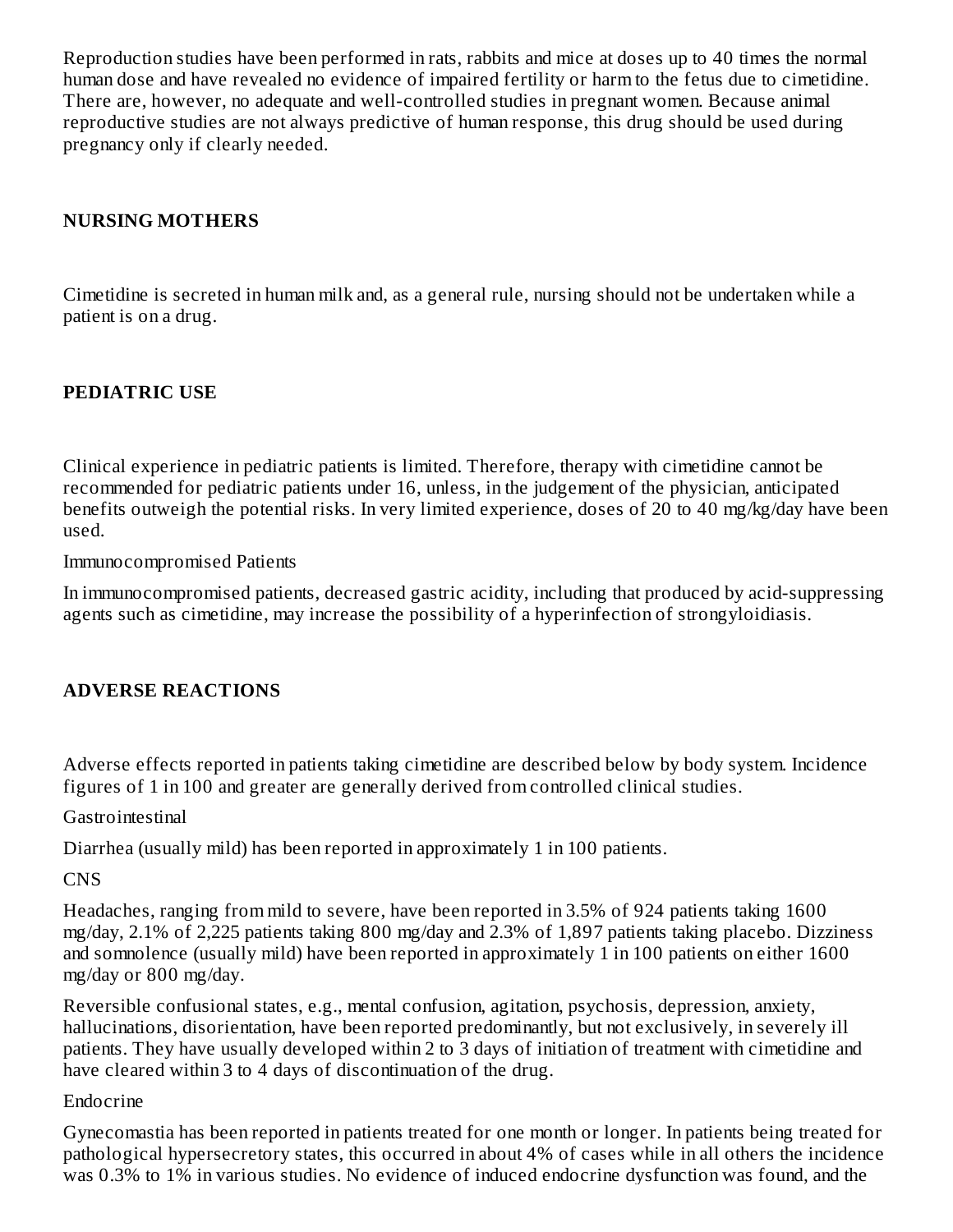Reproduction studies have been performed in rats, rabbits and mice at doses up to 40 times the normal human dose and have revealed no evidence of impaired fertility or harm to the fetus due to cimetidine. There are, however, no adequate and well-controlled studies in pregnant women. Because animal reproductive studies are not always predictive of human response, this drug should be used during pregnancy only if clearly needed.

## **NURSING MOTHERS**

Cimetidine is secreted in human milk and, as a general rule, nursing should not be undertaken while a patient is on a drug.

## **PEDIATRIC USE**

Clinical experience in pediatric patients is limited. Therefore, therapy with cimetidine cannot be recommended for pediatric patients under 16, unless, in the judgement of the physician, anticipated benefits outweigh the potential risks. In very limited experience, doses of 20 to 40 mg/kg/day have been used.

Immunocompromised Patients

In immunocompromised patients, decreased gastric acidity, including that produced by acid-suppressing agents such as cimetidine, may increase the possibility of a hyperinfection of strongyloidiasis.

## **ADVERSE REACTIONS**

Adverse effects reported in patients taking cimetidine are described below by body system. Incidence figures of 1 in 100 and greater are generally derived from controlled clinical studies.

Gastrointestinal

Diarrhea (usually mild) has been reported in approximately 1 in 100 patients.

CNS

Headaches, ranging from mild to severe, have been reported in 3.5% of 924 patients taking 1600 mg/day, 2.1% of 2,225 patients taking 800 mg/day and 2.3% of 1,897 patients taking placebo. Dizziness and somnolence (usually mild) have been reported in approximately 1 in 100 patients on either 1600 mg/day or 800 mg/day.

Reversible confusional states, e.g., mental confusion, agitation, psychosis, depression, anxiety, hallucinations, disorientation, have been reported predominantly, but not exclusively, in severely ill patients. They have usually developed within 2 to 3 days of initiation of treatment with cimetidine and have cleared within 3 to 4 days of discontinuation of the drug.

#### Endocrine

Gynecomastia has been reported in patients treated for one month or longer. In patients being treated for pathological hypersecretory states, this occurred in about 4% of cases while in all others the incidence was 0.3% to 1% in various studies. No evidence of induced endocrine dysfunction was found, and the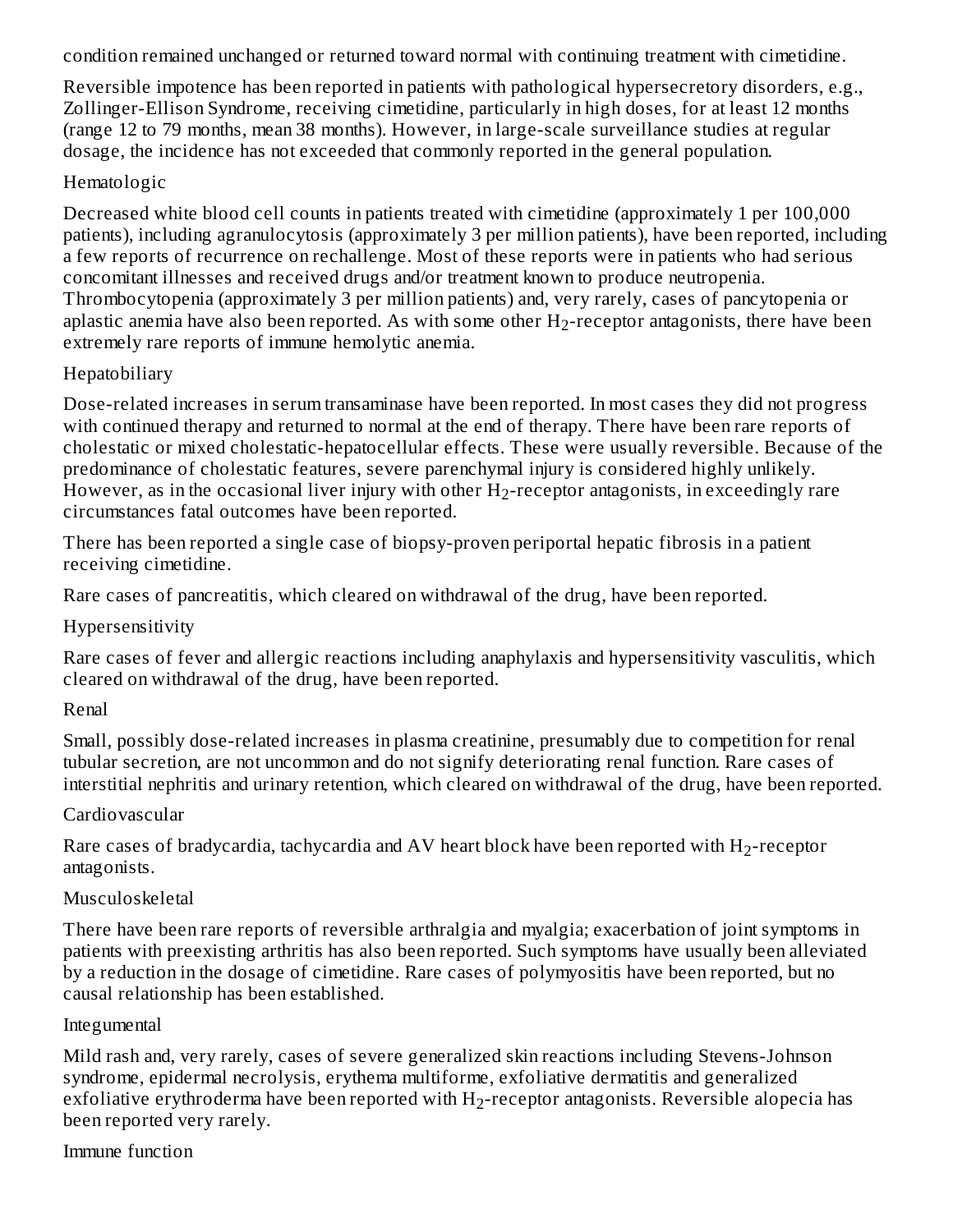condition remained unchanged or returned toward normal with continuing treatment with cimetidine.

Reversible impotence has been reported in patients with pathological hypersecretory disorders, e.g., Zollinger-Ellison Syndrome, receiving cimetidine, particularly in high doses, for at least 12 months (range 12 to 79 months, mean 38 months). However, in large-scale surveillance studies at regular dosage, the incidence has not exceeded that commonly reported in the general population.

### Hematologic

Decreased white blood cell counts in patients treated with cimetidine (approximately 1 per 100,000 patients), including agranulocytosis (approximately 3 per million patients), have been reported, including a few reports of recurrence on rechallenge. Most of these reports were in patients who had serious concomitant illnesses and received drugs and/or treatment known to produce neutropenia. Thrombocytopenia (approximately 3 per million patients) and, very rarely, cases of pancytopenia or aplastic anemia have also been reported. As with some other  $\rm H_2$ -receptor antagonists, there have been extremely rare reports of immune hemolytic anemia.

#### Hepatobiliary

Dose-related increases in serum transaminase have been reported. In most cases they did not progress with continued therapy and returned to normal at the end of therapy. There have been rare reports of cholestatic or mixed cholestatic-hepatocellular effects. These were usually reversible. Because of the predominance of cholestatic features, severe parenchymal injury is considered highly unlikely. However, as in the occasional liver injury with other  $\rm H_2$ -receptor antagonists, in exceedingly rare circumstances fatal outcomes have been reported.

There has been reported a single case of biopsy-proven periportal hepatic fibrosis in a patient receiving cimetidine.

Rare cases of pancreatitis, which cleared on withdrawal of the drug, have been reported.

Hypersensitivity

Rare cases of fever and allergic reactions including anaphylaxis and hypersensitivity vasculitis, which cleared on withdrawal of the drug, have been reported.

## Renal

Small, possibly dose-related increases in plasma creatinine, presumably due to competition for renal tubular secretion, are not uncommon and do not signify deteriorating renal function. Rare cases of interstitial nephritis and urinary retention, which cleared on withdrawal of the drug, have been reported.

## Cardiovascular

Rare cases of bradycardia, tachycardia and AV heart block have been reported with  $\rm H_2$ -receptor antagonists.

## Musculoskeletal

There have been rare reports of reversible arthralgia and myalgia; exacerbation of joint symptoms in patients with preexisting arthritis has also been reported. Such symptoms have usually been alleviated by a reduction in the dosage of cimetidine. Rare cases of polymyositis have been reported, but no causal relationship has been established.

#### Integumental

Mild rash and, very rarely, cases of severe generalized skin reactions including Stevens-Johnson syndrome, epidermal necrolysis, erythema multiforme, exfoliative dermatitis and generalized exfoliative erythroderma have been reported with  $\rm H_2$ -receptor antagonists. Reversible alopecia has been reported very rarely.

## Immune function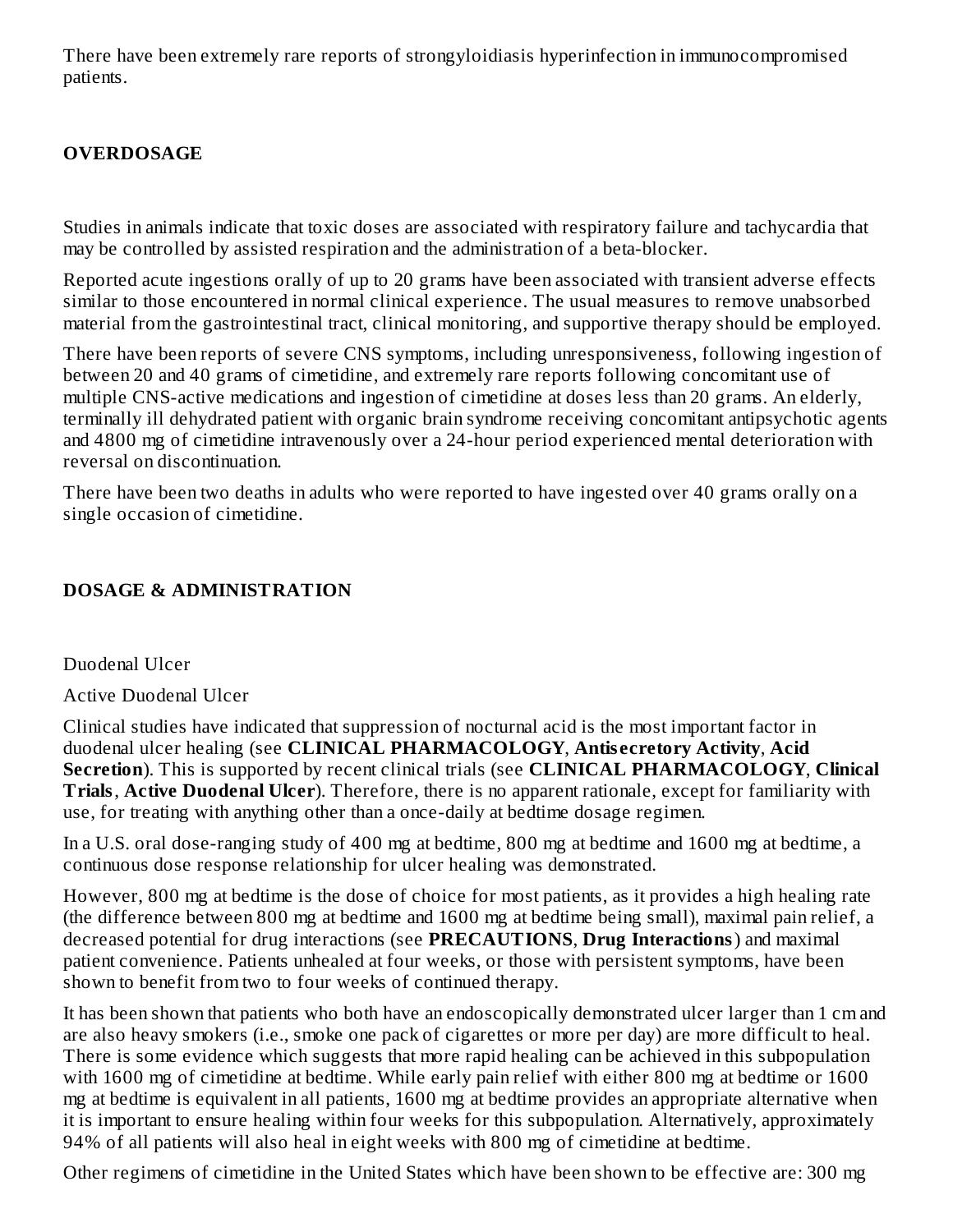There have been extremely rare reports of strongyloidiasis hyperinfection in immunocompromised patients.

## **OVERDOSAGE**

Studies in animals indicate that toxic doses are associated with respiratory failure and tachycardia that may be controlled by assisted respiration and the administration of a beta-blocker.

Reported acute ingestions orally of up to 20 grams have been associated with transient adverse effects similar to those encountered in normal clinical experience. The usual measures to remove unabsorbed material from the gastrointestinal tract, clinical monitoring, and supportive therapy should be employed.

There have been reports of severe CNS symptoms, including unresponsiveness, following ingestion of between 20 and 40 grams of cimetidine, and extremely rare reports following concomitant use of multiple CNS-active medications and ingestion of cimetidine at doses less than 20 grams. An elderly, terminally ill dehydrated patient with organic brain syndrome receiving concomitant antipsychotic agents and 4800 mg of cimetidine intravenously over a 24-hour period experienced mental deterioration with reversal on discontinuation.

There have been two deaths in adults who were reported to have ingested over 40 grams orally on a single occasion of cimetidine.

## **DOSAGE & ADMINISTRATION**

Duodenal Ulcer

## Active Duodenal Ulcer

Clinical studies have indicated that suppression of nocturnal acid is the most important factor in duodenal ulcer healing (see **CLINICAL PHARMACOLOGY**, **Antis ecretory Activity**, **Acid Secretion**). This is supported by recent clinical trials (see **CLINICAL PHARMACOLOGY**, **Clinical Trials**, **Active Duodenal Ulcer**). Therefore, there is no apparent rationale, except for familiarity with use, for treating with anything other than a once-daily at bedtime dosage regimen.

In a U.S. oral dose-ranging study of 400 mg at bedtime, 800 mg at bedtime and 1600 mg at bedtime, a continuous dose response relationship for ulcer healing was demonstrated.

However, 800 mg at bedtime is the dose of choice for most patients, as it provides a high healing rate (the difference between 800 mg at bedtime and 1600 mg at bedtime being small), maximal pain relief, a decreased potential for drug interactions (see **PRECAUTIONS**, **Drug Interactions**) and maximal patient convenience. Patients unhealed at four weeks, or those with persistent symptoms, have been shown to benefit from two to four weeks of continued therapy.

It has been shown that patients who both have an endoscopically demonstrated ulcer larger than 1 cm and are also heavy smokers (i.e., smoke one pack of cigarettes or more per day) are more difficult to heal. There is some evidence which suggests that more rapid healing can be achieved in this subpopulation with 1600 mg of cimetidine at bedtime. While early pain relief with either 800 mg at bedtime or 1600 mg at bedtime is equivalent in all patients, 1600 mg at bedtime provides an appropriate alternative when it is important to ensure healing within four weeks for this subpopulation. Alternatively, approximately 94% of all patients will also heal in eight weeks with 800 mg of cimetidine at bedtime.

Other regimens of cimetidine in the United States which have been shown to be effective are: 300 mg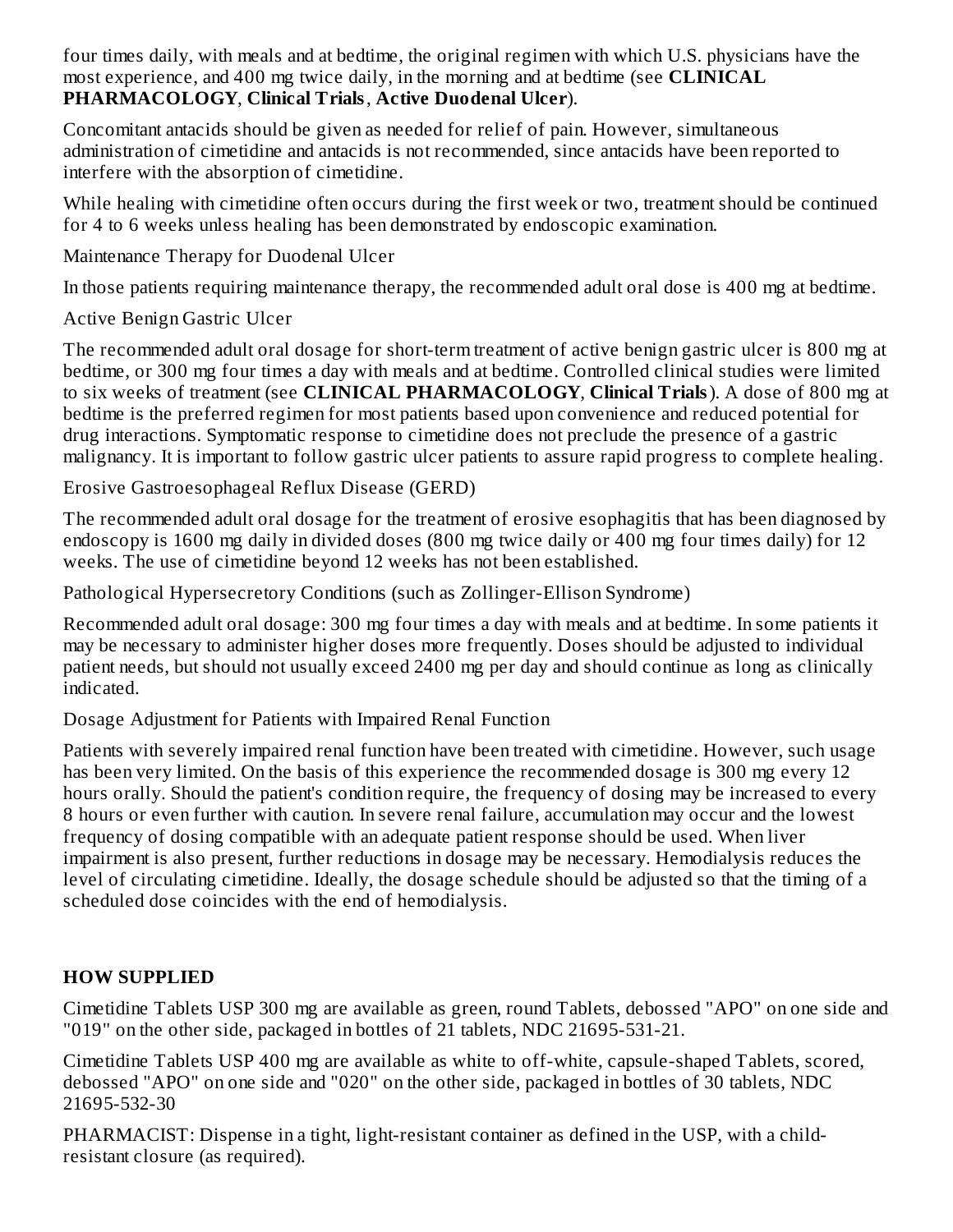four times daily, with meals and at bedtime, the original regimen with which U.S. physicians have the most experience, and 400 mg twice daily, in the morning and at bedtime (see **CLINICAL PHARMACOLOGY**, **Clinical Trials**, **Active Duodenal Ulcer**).

Concomitant antacids should be given as needed for relief of pain. However, simultaneous administration of cimetidine and antacids is not recommended, since antacids have been reported to interfere with the absorption of cimetidine.

While healing with cimetidine often occurs during the first week or two, treatment should be continued for 4 to 6 weeks unless healing has been demonstrated by endoscopic examination.

Maintenance Therapy for Duodenal Ulcer

In those patients requiring maintenance therapy, the recommended adult oral dose is 400 mg at bedtime.

Active Benign Gastric Ulcer

The recommended adult oral dosage for short-term treatment of active benign gastric ulcer is 800 mg at bedtime, or 300 mg four times a day with meals and at bedtime. Controlled clinical studies were limited to six weeks of treatment (see **CLINICAL PHARMACOLOGY**, **Clinical Trials**). A dose of 800 mg at bedtime is the preferred regimen for most patients based upon convenience and reduced potential for drug interactions. Symptomatic response to cimetidine does not preclude the presence of a gastric malignancy. It is important to follow gastric ulcer patients to assure rapid progress to complete healing.

Erosive Gastroesophageal Reflux Disease (GERD)

The recommended adult oral dosage for the treatment of erosive esophagitis that has been diagnosed by endoscopy is 1600 mg daily in divided doses (800 mg twice daily or 400 mg four times daily) for 12 weeks. The use of cimetidine beyond 12 weeks has not been established.

Pathological Hypersecretory Conditions (such as Zollinger-Ellison Syndrome)

Recommended adult oral dosage: 300 mg four times a day with meals and at bedtime. In some patients it may be necessary to administer higher doses more frequently. Doses should be adjusted to individual patient needs, but should not usually exceed 2400 mg per day and should continue as long as clinically indicated.

Dosage Adjustment for Patients with Impaired Renal Function

Patients with severely impaired renal function have been treated with cimetidine. However, such usage has been very limited. On the basis of this experience the recommended dosage is 300 mg every 12 hours orally. Should the patient's condition require, the frequency of dosing may be increased to every 8 hours or even further with caution. In severe renal failure, accumulation may occur and the lowest frequency of dosing compatible with an adequate patient response should be used. When liver impairment is also present, further reductions in dosage may be necessary. Hemodialysis reduces the level of circulating cimetidine. Ideally, the dosage schedule should be adjusted so that the timing of a scheduled dose coincides with the end of hemodialysis.

## **HOW SUPPLIED**

Cimetidine Tablets USP 300 mg are available as green, round Tablets, debossed "APO" on one side and "019" on the other side, packaged in bottles of 21 tablets, NDC 21695-531-21.

Cimetidine Tablets USP 400 mg are available as white to off-white, capsule-shaped Tablets, scored, debossed "APO" on one side and "020" on the other side, packaged in bottles of 30 tablets, NDC 21695-532-30

PHARMACIST: Dispense in a tight, light-resistant container as defined in the USP, with a childresistant closure (as required).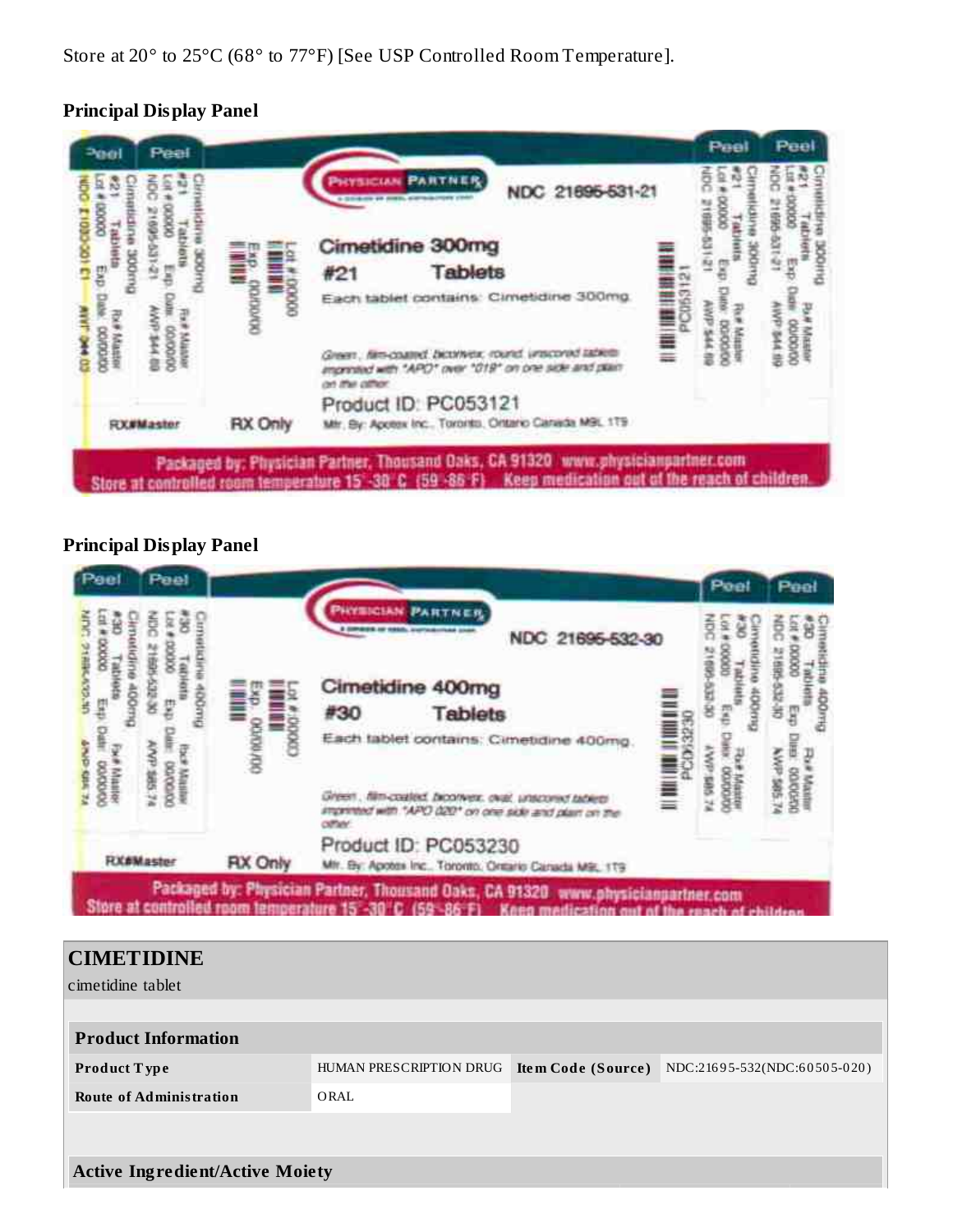Store at 20° to 25°C (68° to 77°F) [See USP Controlled Room Temperature].

#### **Principal Display Panel**



## **Principal Display Panel**

| Poet                                     | Peet                        |                |                                                                                                                                                                                        | Poel                              | Peet                             |
|------------------------------------------|-----------------------------|----------------|----------------------------------------------------------------------------------------------------------------------------------------------------------------------------------------|-----------------------------------|----------------------------------|
| š<br>pooo<br>뭌<br>ğ<br>0000000<br>Manter | ğ<br>moond<br>Monage<br>風ない |                | <b>CYBICIAN PARTNER</b><br>NDC 21695-532-30<br>Cimetidine 400mg<br>#30<br><b>Tablets</b><br>Each tablet contains: Cimetidine 400mg.<br>film-coatled, biconvers, oval, unscored bidlets | <b>ROOM</b><br><b>REGION</b><br>통 | 石岩<br>586 df<br>0000000<br>aurey |
| <b>RX#Master</b>                         |                             | <b>RX Only</b> | manimum with "APIO 020" on one side and plain on the<br><b>CNTMW</b><br>Product ID: PC053230<br>Mfr. By: Apotes Inc., Toronto, Ontario Canada MB, 179                                  |                                   |                                  |

| <b>CIMETIDINE</b><br>cimetidine tablet |                         |                           |                              |
|----------------------------------------|-------------------------|---------------------------|------------------------------|
| <b>Product Information</b>             |                         |                           |                              |
| <b>Product Type</b>                    | HUMAN PRESCRIPTION DRUG | <b>Item Code (Source)</b> | NDC:21695-532(NDC:60505-020) |
| <b>Route of Administration</b>         | ORAL                    |                           |                              |
|                                        |                         |                           |                              |
| <b>Active Ingredient/Active Moiety</b> |                         |                           |                              |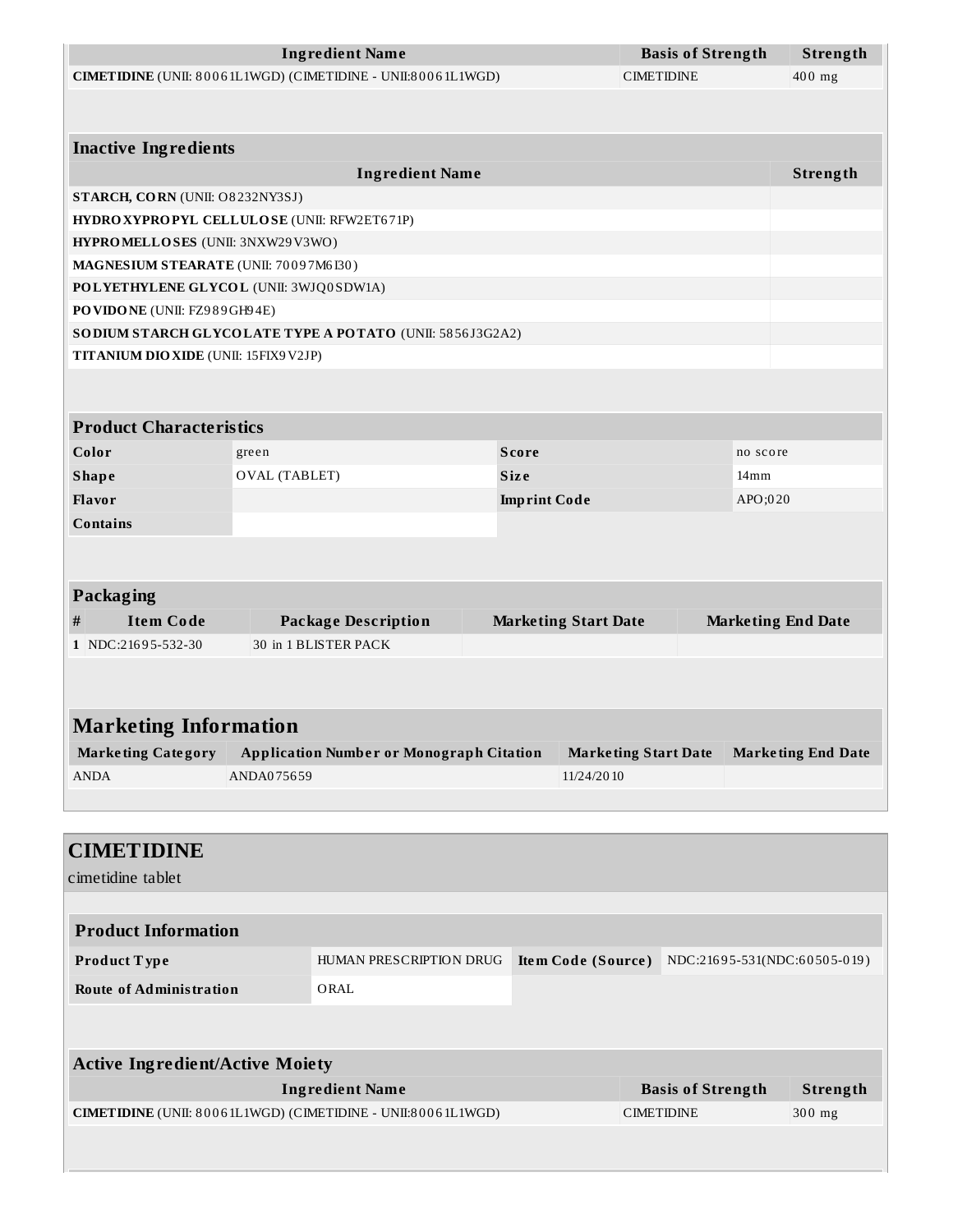|                                       | <b>Ingredient Name</b>                                       |                     |                             | <b>Basis of Strength</b>  | Strength                  |  |
|---------------------------------------|--------------------------------------------------------------|---------------------|-----------------------------|---------------------------|---------------------------|--|
|                                       | CIMETIDINE (UNII: 80061L1WGD) (CIMETIDINE - UNII:80061L1WGD) |                     | <b>CIMETIDINE</b>           |                           | 400 mg                    |  |
|                                       |                                                              |                     |                             |                           |                           |  |
|                                       |                                                              |                     |                             |                           |                           |  |
| <b>Inactive Ingredients</b>           |                                                              |                     |                             |                           |                           |  |
|                                       | <b>Ingredient Name</b>                                       |                     |                             |                           | Strength                  |  |
| STARCH, CORN (UNII: O8232NY3SJ)       |                                                              |                     |                             |                           |                           |  |
|                                       | HYDRO XYPROPYL CELLULOSE (UNII: RFW2ET671P)                  |                     |                             |                           |                           |  |
| HYPROMELLOSES (UNII: 3NXW29V3WO)      |                                                              |                     |                             |                           |                           |  |
| MAGNESIUM STEARATE (UNII: 70097M6I30) |                                                              |                     |                             |                           |                           |  |
|                                       | POLYETHYLENE GLYCOL (UNII: 3WJQ0SDW1A)                       |                     |                             |                           |                           |  |
| PO VIDO NE (UNII: FZ989GH94E)         |                                                              |                     |                             |                           |                           |  |
|                                       | SO DIUM STARCH GLYCOLATE TYPE A POTATO (UNII: 5856J3G2A2)    |                     |                             |                           |                           |  |
| TITANIUM DIO XIDE (UNII: 15FIX9 V2JP) |                                                              |                     |                             |                           |                           |  |
|                                       |                                                              |                     |                             |                           |                           |  |
|                                       |                                                              |                     |                             |                           |                           |  |
| <b>Product Characteristics</b>        |                                                              |                     |                             |                           |                           |  |
| Color                                 | green                                                        | <b>Score</b>        |                             |                           | no score                  |  |
| <b>Shape</b>                          | OVAL (TABLET)                                                | Size                |                             | 14 <sub>mm</sub>          |                           |  |
| Flavor                                |                                                              | <b>Imprint Code</b> |                             | APO;020                   |                           |  |
| <b>Contains</b>                       |                                                              |                     |                             |                           |                           |  |
|                                       |                                                              |                     |                             |                           |                           |  |
|                                       |                                                              |                     |                             |                           |                           |  |
| Packaging                             |                                                              |                     |                             |                           |                           |  |
| <b>Item Code</b><br>#                 | <b>Package Description</b>                                   |                     | <b>Marketing Start Date</b> | <b>Marketing End Date</b> |                           |  |
| 1 NDC:21695-532-30                    | 30 in 1 BLISTER PACK                                         |                     |                             |                           |                           |  |
|                                       |                                                              |                     |                             |                           |                           |  |
|                                       |                                                              |                     |                             |                           |                           |  |
|                                       |                                                              |                     |                             |                           |                           |  |
| <b>Marketing Information</b>          |                                                              |                     |                             |                           |                           |  |
| <b>Marketing Category</b>             | <b>Application Number or Monograph Citation</b>              |                     | <b>Marketing Start Date</b> |                           | <b>Marketing End Date</b> |  |
| <b>ANDA</b>                           | ANDA075659                                                   |                     | 11/24/2010                  |                           |                           |  |
|                                       |                                                              |                     |                             |                           |                           |  |
|                                       |                                                              |                     |                             |                           |                           |  |
|                                       |                                                              |                     |                             |                           |                           |  |
|                                       |                                                              |                     |                             |                           |                           |  |
| <b>CIMETIDINE</b>                     |                                                              |                     |                             |                           |                           |  |
| cimetidine tablet                     |                                                              |                     |                             |                           |                           |  |

| <b>Product Information</b> |                         |                                                        |
|----------------------------|-------------------------|--------------------------------------------------------|
| Product Type               | HUMAN PRESCRIPTION DRUG | <b>Item Code (Source)</b> NDC:21695-531(NDC:60505-019) |
| Route of Administration    | ORAL                    |                                                        |

| <b>Active Ingredient/Active Moiety</b>                              |                          |          |  |  |  |  |
|---------------------------------------------------------------------|--------------------------|----------|--|--|--|--|
| Ingredient Name                                                     | <b>Basis of Strength</b> | Strength |  |  |  |  |
| <b>CIMETIDINE</b> (UNII: 80061L1WGD) (CIMETIDINE - UNII:80061L1WGD) | <b>CIMETIDINE</b>        | $300$ mg |  |  |  |  |
|                                                                     |                          |          |  |  |  |  |